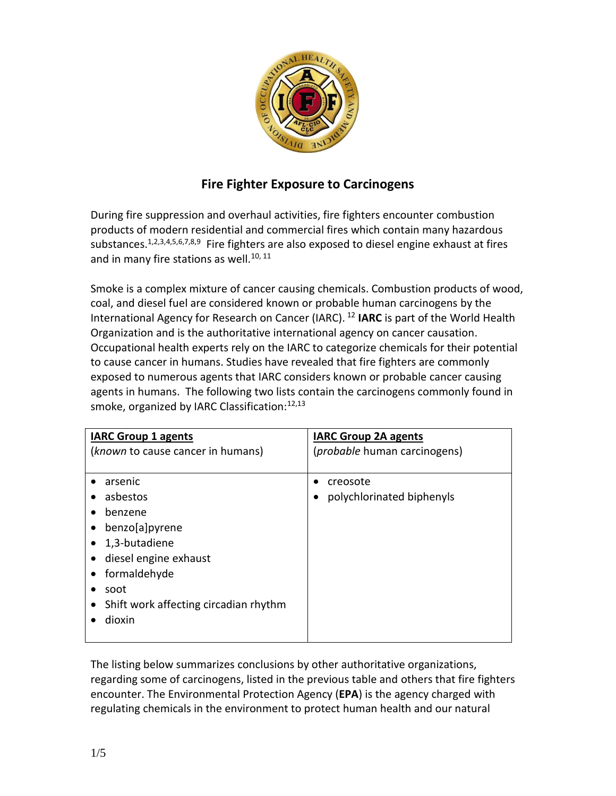

# <span id="page-0-5"></span><span id="page-0-4"></span><span id="page-0-3"></span><span id="page-0-0"></span>**Fire Fighter Exposure to Carcinogens**

<span id="page-0-2"></span><span id="page-0-1"></span>During fire suppression and overhaul activities, fire fighters encounter combustion products of modern residential and commercial fires which contain many hazardous substances.<sup>1,2,3,4,5,6,7,8,9</sup> Fire fighters are also exposed to diesel engine exhaust at fires and in many fire stations as well.<sup>10, 11</sup>

Smoke is a complex mixture of cancer causing chemicals. Combustion products of wood, coal, and diesel fuel are considered known or probable human carcinogens by the International Agency for Research on Cancer (IARC). <sup>12</sup> **IARC** is part of the World Health Organization and is the authoritative international agency on cancer causation. Occupational health experts rely on the IARC to categorize chemicals for their potential to cause cancer in humans. Studies have revealed that fire fighters are commonly exposed to numerous agents that IARC considers known or probable cancer causing agents in humans. The following two lists contain the carcinogens commonly found in smoke, organized by IARC Classification:<sup>[12,1](#page-0-0)3</sup>

| <b>IARC Group 1 agents</b>            | <b>IARC Group 2A agents</b>          |
|---------------------------------------|--------------------------------------|
| (known to cause cancer in humans)     | ( <i>probable</i> human carcinogens) |
|                                       |                                      |
| arsenic                               | creosote                             |
| asbestos                              | polychlorinated biphenyls            |
| benzene                               |                                      |
| benzo[a]pyrene                        |                                      |
| 1,3-butadiene                         |                                      |
| diesel engine exhaust                 |                                      |
| formaldehyde                          |                                      |
| soot                                  |                                      |
| Shift work affecting circadian rhythm |                                      |
| dioxin                                |                                      |
|                                       |                                      |

The listing below summarizes conclusions by other authoritative organizations, regarding some of carcinogens, listed in the previous table and others that fire fighters encounter. The Environmental Protection Agency (**EPA**) is the agency charged with regulating chemicals in the environment to protect human health and our natural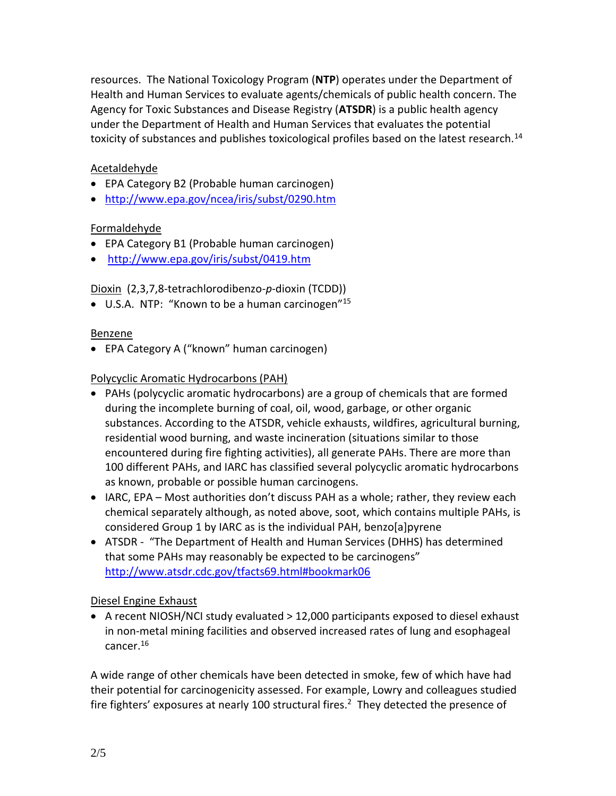resources. The National Toxicology Program (**NTP**) operates under the Department of Health and Human Services to evaluate agents/chemicals of public health concern. The Agency for Toxic Substances and Disease Registry (**ATSDR**) is a public health agency under the Department of Health and Human Services that evaluates the potential toxicity of substances and publishes toxicological profiles based on the latest research.<sup>14</sup>

### Acetaldehyde

- EPA Category B2 (Probable human carcinogen)
- <http://www.epa.gov/ncea/iris/subst/0290.htm>

## Formaldehyde

- EPA Category B1 (Probable human carcinogen)
- <http://www.epa.gov/iris/subst/0419.htm>

Dioxin (2,3,7,8-tetrachlorodibenzo-*p*-dioxin (TCDD))

 $\bullet$  U.S.A. NTP: "Known to be a human carcinogen"<sup>15</sup>

#### Benzene

EPA Category A ("known" human carcinogen)

## Polycyclic Aromatic Hydrocarbons (PAH)

- PAHs (polycyclic aromatic hydrocarbons) are a group of chemicals that are formed during the incomplete burning of coal, oil, wood, garbage, or other organic substances. According to the ATSDR, vehicle exhausts, wildfires, agricultural burning, residential wood burning, and waste incineration (situations similar to those encountered during fire fighting activities), all generate PAHs. There are more than 100 different PAHs, and IARC has classified several polycyclic aromatic hydrocarbons as known, probable or possible human carcinogens.
- IARC, EPA Most authorities don't discuss PAH as a whole; rather, they review each chemical separately although, as noted above, soot, which contains multiple PAHs, is considered Group 1 by IARC as is the individual PAH, benzo[a]pyrene
- ATSDR "The Department of Health and Human Services (DHHS) has determined that some PAHs may reasonably be expected to be carcinogens" <http://www.atsdr.cdc.gov/tfacts69.html#bookmark06>

#### Diesel Engine Exhaust

A recent NIOSH/NCI study evaluated  $> 12,000$  participants exposed to diesel exhaust in non-metal mining facilities and observed increased rates of lung and esophageal cancer. 16

A wide range of other chemicals have been detected in smoke, few of which have had their potential for carcinogenicity assessed. For example, Lowry and colleagues studied fire fighters' exposures at nearly 100 structural fires.<sup>[2](#page-0-1)</sup> They detected the presence of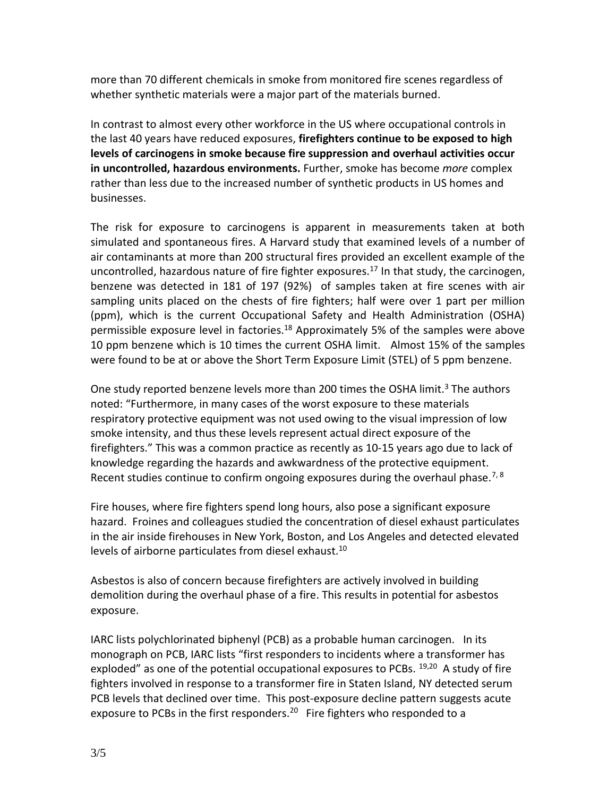more than 70 different chemicals in smoke from monitored fire scenes regardless of whether synthetic materials were a major part of the materials burned.

In contrast to almost every other workforce in the US where occupational controls in the last 40 years have reduced exposures, **firefighters continue to be exposed to high levels of carcinogens in smoke because fire suppression and overhaul activities occur in uncontrolled, hazardous environments.** Further, smoke has become *more* complex rather than less due to the increased number of synthetic products in US homes and businesses.

The risk for exposure to carcinogens is apparent in measurements taken at both simulated and spontaneous fires. A Harvard study that examined levels of a number of air contaminants at more than 200 structural fires provided an excellent example of the uncontrolled, hazardous nature of fire fighter exposures.<sup>17</sup> In that study, the carcinogen, benzene was detected in 181 of 197 (92%) of samples taken at fire scenes with air sampling units placed on the chests of fire fighters; half were over 1 part per million (ppm), which is the current Occupational Safety and Health Administration (OSHA) permissible exposure level in factories.<sup>18</sup> Approximately 5% of the samples were above 10 ppm benzene which is 10 times the current OSHA limit. Almost 15% of the samples were found to be at or above the Short Term Exposure Limit (STEL) of 5 ppm benzene.

One study reported benzene levels more than 200 times the OSHA limit.<sup>[3](#page-0-2)</sup> The authors noted: "Furthermore, in many cases of the worst exposure to these materials respiratory protective equipment was not used owing to the visual impression of low smoke intensity, and thus these levels represent actual direct exposure of the firefighters." This was a common practice as recently as 10-15 years ago due to lack of knowledge regarding the hazards and awkwardness of the protective equipment. Recent studies continue to confirm ongoing exposures during the overhaul phase.<sup>[7,](#page-0-3) [8](#page-0-4)</sup>

Fire houses, where fire fighters spend long hours, also pose a significant exposure hazard. Froines and colleagues studied the concentration of diesel exhaust particulates in the air inside firehouses in New York, Boston, and Los Angeles and detected elevated levels of airborne particulates from diesel exhaust.<sup>[10](#page-0-5)</sup>

Asbestos is also of concern because firefighters are actively involved in building demolition during the overhaul phase of a fire. This results in potential for asbestos exposure.

<span id="page-2-0"></span>IARC lists polychlorinated biphenyl (PCB) as a probable human carcinogen. In its monograph on PCB, IARC lists "first responders to incidents where a transformer has exploded" as one of the potential occupational exposures to PCBs. <sup>19,20</sup> A study of fire fighters involved in response to a transformer fire in Staten Island, NY detected serum PCB levels that declined over time. This post-exposure decline pattern suggests acute exposure to PCBs in the first responders.<sup>[20](#page-2-0)</sup> Fire fighters who responded to a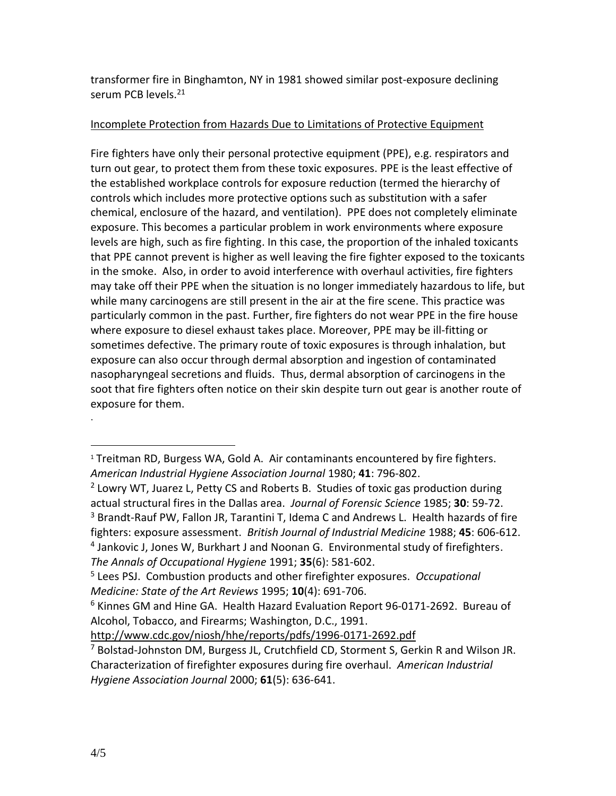transformer fire in Binghamton, NY in 1981 showed similar post-exposure declining serum PCB levels.<sup>21</sup>

#### Incomplete Protection from Hazards Due to Limitations of Protective Equipment

Fire fighters have only their personal protective equipment (PPE), e.g. respirators and turn out gear, to protect them from these toxic exposures. PPE is the least effective of the established workplace controls for exposure reduction (termed the hierarchy of controls which includes more protective options such as substitution with a safer chemical, enclosure of the hazard, and ventilation). PPE does not completely eliminate exposure. This becomes a particular problem in work environments where exposure levels are high, such as fire fighting. In this case, the proportion of the inhaled toxicants that PPE cannot prevent is higher as well leaving the fire fighter exposed to the toxicants in the smoke. Also, in order to avoid interference with overhaul activities, fire fighters may take off their PPE when the situation is no longer immediately hazardous to life, but while many carcinogens are still present in the air at the fire scene. This practice was particularly common in the past. Further, fire fighters do not wear PPE in the fire house where exposure to diesel exhaust takes place. Moreover, PPE may be ill-fitting or sometimes defective. The primary route of toxic exposures is through inhalation, but exposure can also occur through dermal absorption and ingestion of contaminated nasopharyngeal secretions and fluids. Thus, dermal absorption of carcinogens in the soot that fire fighters often notice on their skin despite turn out gear is another route of exposure for them.

<http://www.cdc.gov/niosh/hhe/reports/pdfs/1996-0171-2692.pdf>

.

 $\overline{a}$ 

<sup>&</sup>lt;sup>1</sup> Treitman RD, Burgess WA, Gold A. Air contaminants encountered by fire fighters. *American Industrial Hygiene Association Journal* 1980; **41**: 796-802.

<sup>&</sup>lt;sup>2</sup> Lowry WT, Juarez L, Petty CS and Roberts B. Studies of toxic gas production during actual structural fires in the Dallas area. *Journal of Forensic Science* 1985; **30**: 59-72. <sup>3</sup> Brandt-Rauf PW, Fallon JR, Tarantini T, Idema C and Andrews L. Health hazards of fire fighters: exposure assessment. *British Journal of Industrial Medicine* 1988; **45**: 606-612. <sup>4</sup> Jankovic J, Jones W, Burkhart J and Noonan G. Environmental study of firefighters. *The Annals of Occupational Hygiene* 1991; **35**(6): 581-602.

<sup>5</sup> Lees PSJ. Combustion products and other firefighter exposures. *Occupational Medicine: State of the Art Reviews* 1995; **10**(4): 691-706.

 $6$  Kinnes GM and Hine GA. Health Hazard Evaluation Report 96-0171-2692. Bureau of Alcohol, Tobacco, and Firearms; Washington, D.C., 1991.

<sup>7</sup> Bolstad-Johnston DM, Burgess JL, Crutchfield CD, Storment S, Gerkin R and Wilson JR. Characterization of firefighter exposures during fire overhaul. *American Industrial Hygiene Association Journal* 2000; **61**(5): 636-641.